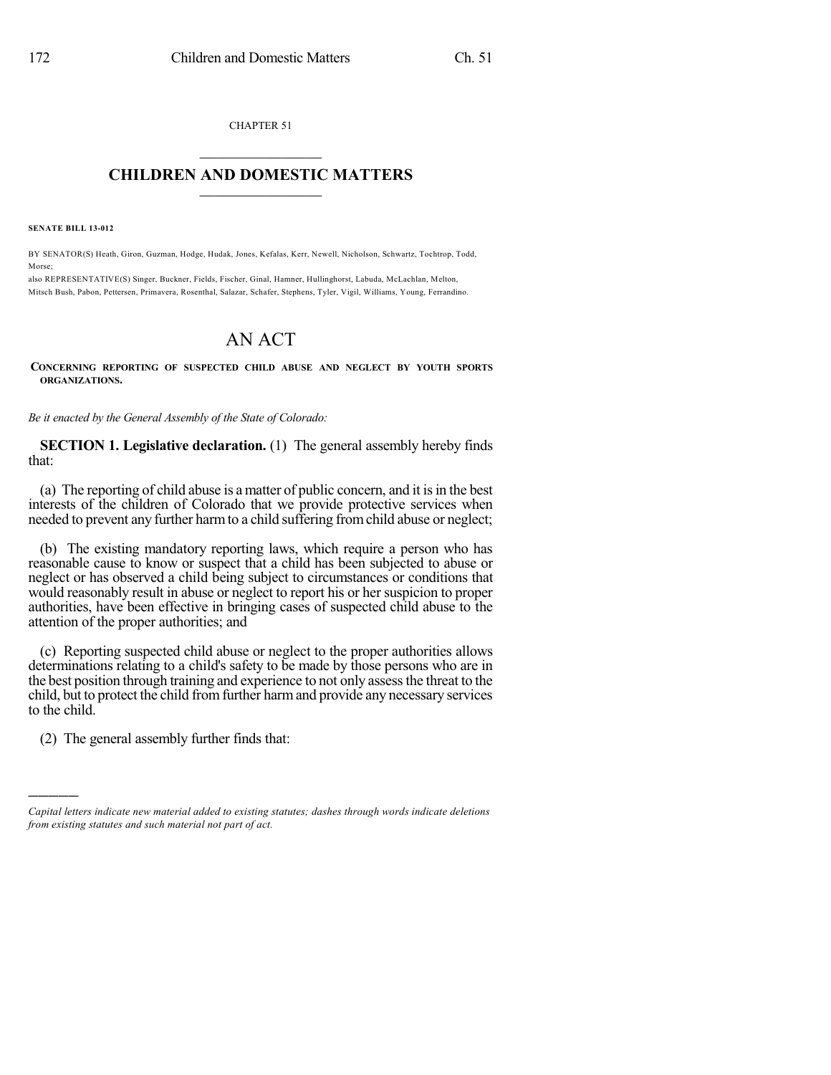CHAPTER 51  $\mathcal{L}_\text{max}$  . The set of the set of the set of the set of the set of the set of the set of the set of the set of the set of the set of the set of the set of the set of the set of the set of the set of the set of the set

## **CHILDREN AND DOMESTIC MATTERS**  $\_$

**SENATE BILL 13-012**

BY SENATOR(S) Heath, Giron, Guzman, Hodge, Hudak, Jones, Kefalas, Kerr, Newell, Nicholson, Schwartz, Tochtrop, Todd, Morse;

also REPRESENTATIVE(S) Singer, Buckner, Fields, Fischer, Ginal, Hamner, Hullinghorst, Labuda, McLachlan, Melton, Mitsch Bush, Pabon, Pettersen, Primavera, Rosenthal, Salazar, Schafer, Stephens, Tyler, Vigil, Williams, Young, Ferrandino.

## AN ACT

**CONCERNING REPORTING OF SUSPECTED CHILD ABUSE AND NEGLECT BY YOUTH SPORTS ORGANIZATIONS.**

*Be it enacted by the General Assembly of the State of Colorado:*

**SECTION 1. Legislative declaration.** (1) The general assembly hereby finds that:

(a) The reporting of child abuse is a matter of public concern, and it isin the best interests of the children of Colorado that we provide protective services when needed to prevent any further harmto a child suffering fromchild abuse or neglect;

(b) The existing mandatory reporting laws, which require a person who has reasonable cause to know or suspect that a child has been subjected to abuse or neglect or has observed a child being subject to circumstances or conditions that would reasonably result in abuse or neglect to report his or her suspicion to proper authorities, have been effective in bringing cases of suspected child abuse to the attention of the proper authorities; and

(c) Reporting suspected child abuse or neglect to the proper authorities allows determinations relating to a child's safety to be made by those persons who are in the best position through training and experience to not only assessthe threat to the child, but to protect the child fromfurther harmand provide any necessary services to the child.

(2) The general assembly further finds that:

)))))

*Capital letters indicate new material added to existing statutes; dashes through words indicate deletions from existing statutes and such material not part of act.*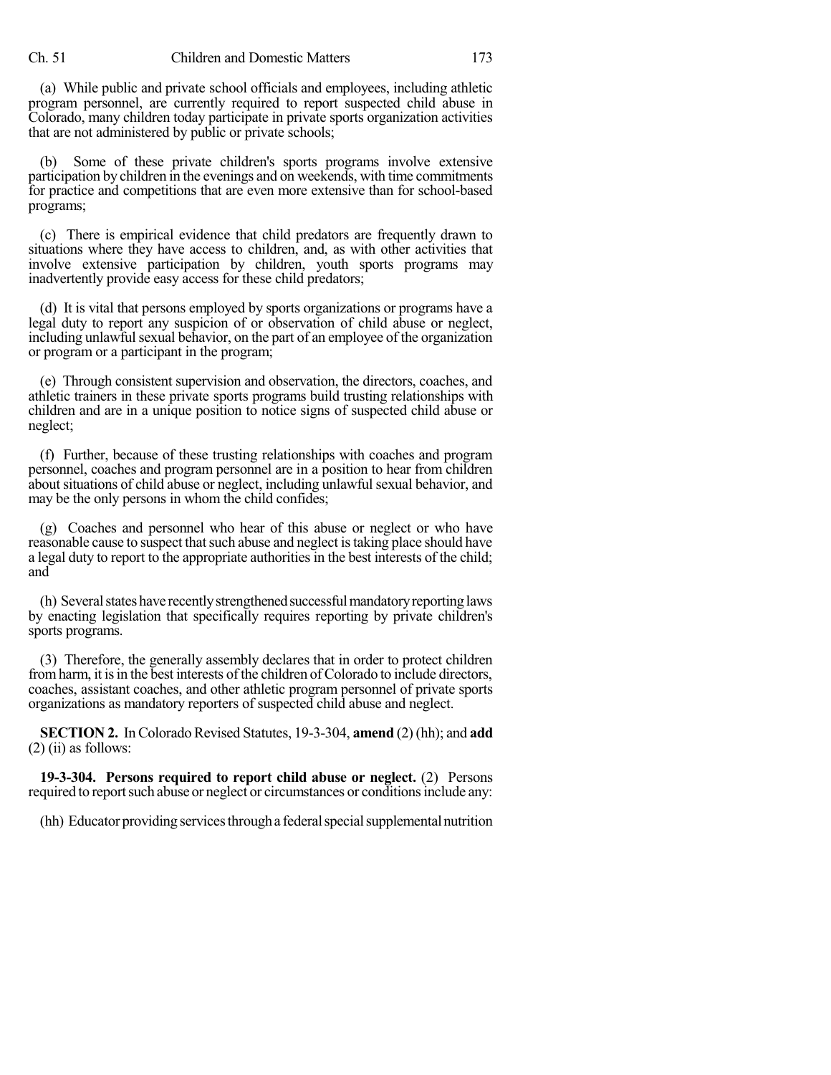(a) While public and private school officials and employees, including athletic program personnel, are currently required to report suspected child abuse in Colorado, many children today participate in private sports organization activities that are not administered by public or private schools;

(b) Some of these private children's sports programs involve extensive participation by children in the evenings and on weekends, with time commitments for practice and competitions that are even more extensive than for school-based programs;

(c) There is empirical evidence that child predators are frequently drawn to situations where they have access to children, and, as with other activities that involve extensive participation by children, youth sports programs may inadvertently provide easy access for these child predators;

(d) It is vital that persons employed by sports organizations or programs have a legal duty to report any suspicion of or observation of child abuse or neglect, including unlawful sexual behavior, on the part of an employee of the organization or program or a participant in the program;

(e) Through consistent supervision and observation, the directors, coaches, and athletic trainers in these private sports programs build trusting relationships with children and are in a unique position to notice signs of suspected child abuse or neglect;

(f) Further, because of these trusting relationships with coaches and program personnel, coaches and program personnel are in a position to hear from children about situations of child abuse or neglect, including unlawful sexual behavior, and may be the only persons in whom the child confides;

(g) Coaches and personnel who hear of this abuse or neglect or who have reasonable cause to suspect that such abuse and neglect is taking place should have a legal duty to report to the appropriate authorities in the best interests of the child; and

(h) Several states have recently strengthened successful mandatory reporting laws by enacting legislation that specifically requires reporting by private children's sports programs.

(3) Therefore, the generally assembly declares that in order to protect children from harm, it is in the best interests of the children of Colorado to include directors, coaches, assistant coaches, and other athletic program personnel of private sports organizations as mandatory reporters of suspected child abuse and neglect.

**SECTION 2.** In Colorado Revised Statutes, 19-3-304, **amend** (2) (hh); and **add**  $(2)$  (ii) as follows:

**19-3-304. Persons required to report child abuse or neglect.** (2) Persons required to report such abuse or neglect or circumstances or conditions include any:

(hh) Educator providing services through a federal special supplemental nutrition